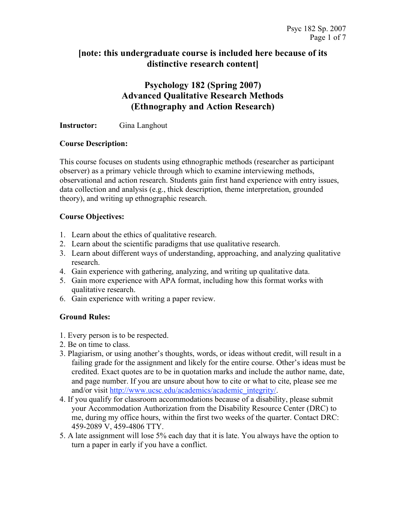### **[note: this undergraduate course is included here because of its distinctive research content]**

## **Psychology 182 (Spring 2007) Advanced Qualitative Research Methods (Ethnography and Action Research)**

#### **Instructor:** Gina Langhout

#### **Course Description:**

This course focuses on students using ethnographic methods (researcher as participant observer) as a primary vehicle through which to examine interviewing methods, observational and action research. Students gain first hand experience with entry issues, data collection and analysis (e.g., thick description, theme interpretation, grounded theory), and writing up ethnographic research.

#### **Course Objectives:**

- 1. Learn about the ethics of qualitative research.
- 2. Learn about the scientific paradigms that use qualitative research.
- 3. Learn about different ways of understanding, approaching, and analyzing qualitative research.
- 4. Gain experience with gathering, analyzing, and writing up qualitative data.
- 5. Gain more experience with APA format, including how this format works with qualitative research.
- 6. Gain experience with writing a paper review.

#### **Ground Rules:**

- 1. Every person is to be respected.
- 2. Be on time to class.
- 3. Plagiarism, or using another's thoughts, words, or ideas without credit, will result in a failing grade for the assignment and likely for the entire course. Other's ideas must be credited. Exact quotes are to be in quotation marks and include the author name, date, and page number. If you are unsure about how to cite or what to cite, please see me and/or visit http://www.ucsc.edu/academics/academic\_integrity/.
- 4. If you qualify for classroom accommodations because of a disability, please submit your Accommodation Authorization from the Disability Resource Center (DRC) to me, during my office hours, within the first two weeks of the quarter. Contact DRC: 459-2089 V, 459-4806 TTY.
- 5. A late assignment will lose 5% each day that it is late. You always have the option to turn a paper in early if you have a conflict.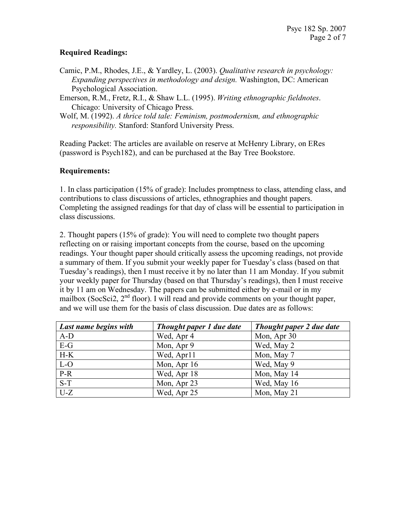#### **Required Readings:**

- Camic, P.M., Rhodes, J.E., & Yardley, L. (2003). *Qualitative research in psychology: Expanding perspectives in methodology and design.* Washington, DC: American Psychological Association.
- Emerson, R.M., Fretz, R.I., & Shaw L.L. (1995). *Writing ethnographic fieldnotes*. Chicago: University of Chicago Press.
- Wolf, M. (1992). *A thrice told tale: Feminism, postmodernism, and ethnographic responsibility.* Stanford: Stanford University Press.

Reading Packet: The articles are available on reserve at McHenry Library, on ERes (password is Psych182), and can be purchased at the Bay Tree Bookstore.

#### **Requirements:**

1. In class participation (15% of grade): Includes promptness to class, attending class, and contributions to class discussions of articles, ethnographies and thought papers. Completing the assigned readings for that day of class will be essential to participation in class discussions.

2. Thought papers (15% of grade): You will need to complete two thought papers reflecting on or raising important concepts from the course, based on the upcoming readings. Your thought paper should critically assess the upcoming readings, not provide a summary of them. If you submit your weekly paper for Tuesday's class (based on that Tuesday's readings), then I must receive it by no later than 11 am Monday. If you submit your weekly paper for Thursday (based on that Thursday's readings), then I must receive it by 11 am on Wednesday. The papers can be submitted either by e-mail or in my mailbox (SocSci2, 2<sup>nd</sup> floor). I will read and provide comments on your thought paper, and we will use them for the basis of class discussion. Due dates are as follows:

| Last name begins with | Thought paper 1 due date | Thought paper 2 due date |
|-----------------------|--------------------------|--------------------------|
| $A-D$                 | Wed, Apr 4               | Mon, Apr 30              |
| $E-G$                 | Mon, Apr 9               | Wed, May 2               |
| $H-K$                 | Wed, Apr11               | Mon, May 7               |
| L-O                   | Mon, Apr 16              | Wed, May 9               |
| $P-R$                 | Wed, Apr 18              | Mon, May 14              |
| $S-T$                 | Mon, Apr 23              | Wed, May 16              |
| $U-Z$                 | Wed, Apr 25              | Mon, May 21              |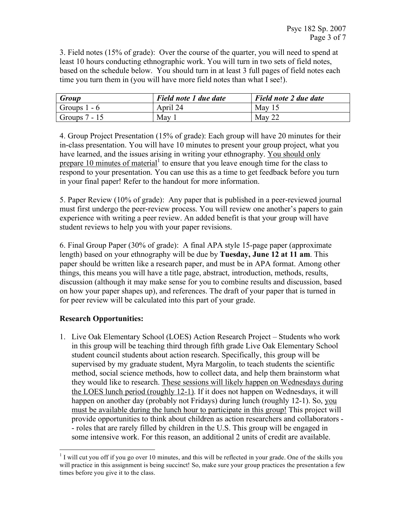3. Field notes (15% of grade): Over the course of the quarter, you will need to spend at least 10 hours conducting ethnographic work. You will turn in two sets of field notes, based on the schedule below. You should turn in at least 3 full pages of field notes each time you turn them in (you will have more field notes than what I see!).

| Group           | Field note 1 due date | Field note 2 due date |
|-----------------|-----------------------|-----------------------|
| Groups $1 - 6$  | April 24              | May $15$              |
| Groups $7 - 15$ | May                   | May 22                |

4. Group Project Presentation (15% of grade): Each group will have 20 minutes for their in-class presentation. You will have 10 minutes to present your group project, what you have learned, and the issues arising in writing your ethnography. You should only prepare 10 minutes of material<sup>1</sup> to ensure that you leave enough time for the class to respond to your presentation. You can use this as a time to get feedback before you turn in your final paper! Refer to the handout for more information.

5. Paper Review (10% of grade): Any paper that is published in a peer-reviewed journal must first undergo the peer-review process. You will review one another's papers to gain experience with writing a peer review. An added benefit is that your group will have student reviews to help you with your paper revisions.

6. Final Group Paper (30% of grade): A final APA style 15-page paper (approximate length) based on your ethnography will be due by **Tuesday, June 12 at 11 am**. This paper should be written like a research paper, and must be in APA format. Among other things, this means you will have a title page, abstract, introduction, methods, results, discussion (although it may make sense for you to combine results and discussion, based on how your paper shapes up), and references. The draft of your paper that is turned in for peer review will be calculated into this part of your grade.

#### **Research Opportunities:**

1. Live Oak Elementary School (LOES) Action Research Project – Students who work in this group will be teaching third through fifth grade Live Oak Elementary School student council students about action research. Specifically, this group will be supervised by my graduate student, Myra Margolin, to teach students the scientific method, social science methods, how to collect data, and help them brainstorm what they would like to research. These sessions will likely happen on Wednesdays during the LOES lunch period (roughly 12-1). If it does not happen on Wednesdays, it will happen on another day (probably not Fridays) during lunch (roughly 12-1). So, you must be available during the lunch hour to participate in this group! This project will provide opportunities to think about children as action researchers and collaborators - - roles that are rarely filled by children in the U.S. This group will be engaged in some intensive work. For this reason, an additional 2 units of credit are available.

 $1$  I will cut you off if you go over 10 minutes, and this will be reflected in your grade. One of the skills you will practice in this assignment is being succinct! So, make sure your group practices the presentation a few times before you give it to the class.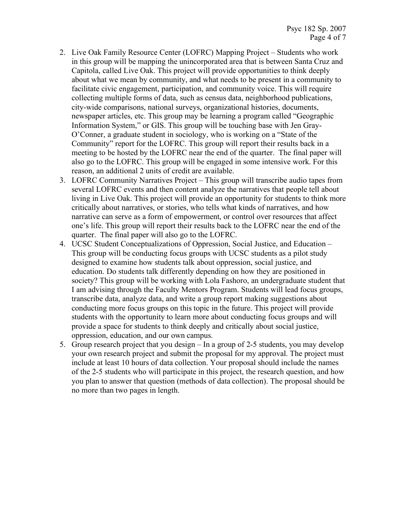- 2. Live Oak Family Resource Center (LOFRC) Mapping Project Students who work in this group will be mapping the unincorporated area that is between Santa Cruz and Capitola, called Live Oak. This project will provide opportunities to think deeply about what we mean by community, and what needs to be present in a community to facilitate civic engagement, participation, and community voice. This will require collecting multiple forms of data, such as census data, neighborhood publications, city-wide comparisons, national surveys, organizational histories, documents, newspaper articles, etc. This group may be learning a program called "Geographic Information System," or GIS. This group will be touching base with Jen Gray-O'Conner, a graduate student in sociology, who is working on a "State of the Community" report for the LOFRC. This group will report their results back in a meeting to be hosted by the LOFRC near the end of the quarter. The final paper will also go to the LOFRC. This group will be engaged in some intensive work. For this reason, an additional 2 units of credit are available.
- 3. LOFRC Community Narratives Project This group will transcribe audio tapes from several LOFRC events and then content analyze the narratives that people tell about living in Live Oak. This project will provide an opportunity for students to think more critically about narratives, or stories, who tells what kinds of narratives, and how narrative can serve as a form of empowerment, or control over resources that affect one's life. This group will report their results back to the LOFRC near the end of the quarter. The final paper will also go to the LOFRC.
- 4. UCSC Student Conceptualizations of Oppression, Social Justice, and Education This group will be conducting focus groups with UCSC students as a pilot study designed to examine how students talk about oppression, social justice, and education. Do students talk differently depending on how they are positioned in society? This group will be working with Lola Fashoro, an undergraduate student that I am advising through the Faculty Mentors Program. Students will lead focus groups, transcribe data, analyze data, and write a group report making suggestions about conducting more focus groups on this topic in the future. This project will provide students with the opportunity to learn more about conducting focus groups and will provide a space for students to think deeply and critically about social justice, oppression, education, and our own campus.
- 5. Group research project that you design In a group of 2-5 students, you may develop your own research project and submit the proposal for my approval. The project must include at least 10 hours of data collection. Your proposal should include the names of the 2-5 students who will participate in this project, the research question, and how you plan to answer that question (methods of data collection). The proposal should be no more than two pages in length.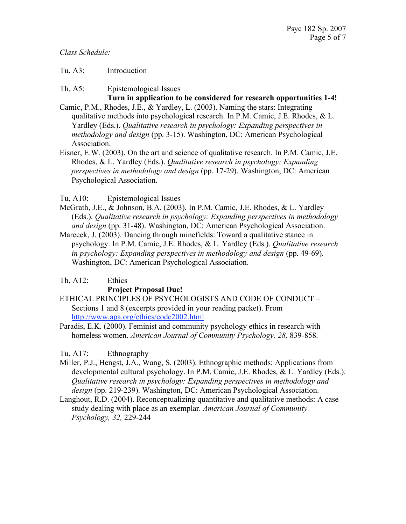*Class Schedule:*

#### Tu, A3: Introduction

Th, A5: Epistemological Issues

# **Turn in application to be considered for research opportunities 1-4!**

- Camic, P.M., Rhodes, J.E., & Yardley, L. (2003). Naming the stars: Integrating qualitative methods into psychological research. In P.M. Camic, J.E. Rhodes, & L. Yardley (Eds.). *Qualitative research in psychology: Expanding perspectives in methodology and design* (pp. 3-15). Washington, DC: American Psychological Association.
- Eisner, E.W. (2003). On the art and science of qualitative research. In P.M. Camic, J.E. Rhodes, & L. Yardley (Eds.). *Qualitative research in psychology: Expanding perspectives in methodology and design* (pp. 17-29). Washington, DC: American Psychological Association.

#### Tu, A10: Epistemological Issues

- McGrath, J.E., & Johnson, B.A. (2003). In P.M. Camic, J.E. Rhodes, & L. Yardley (Eds.). *Qualitative research in psychology: Expanding perspectives in methodology and design* (pp. 31-48). Washington, DC: American Psychological Association.
- Marecek, J. (2003). Dancing through minefields: Toward a qualitative stance in psychology. In P.M. Camic, J.E. Rhodes, & L. Yardley (Eds.). *Qualitative research in psychology: Expanding perspectives in methodology and design* (pp. 49-69). Washington, DC: American Psychological Association.

#### Th, A12: Ethics

#### **Project Proposal Due!**

- ETHICAL PRINCIPLES OF PSYCHOLOGISTS AND CODE OF CONDUCT Sections 1 and 8 (excerpts provided in your reading packet). From http://www.apa.org/ethics/code2002.html
- Paradis, E.K. (2000). Feminist and community psychology ethics in research with homeless women. *American Journal of Community Psychology, 28,* 839-858.

#### Tu, A17: Ethnography

- Miller, P.J., Hengst, J.A., Wang, S. (2003). Ethnographic methods: Applications from developmental cultural psychology. In P.M. Camic, J.E. Rhodes, & L. Yardley (Eds.). *Qualitative research in psychology: Expanding perspectives in methodology and design* (pp. 219-239). Washington, DC: American Psychological Association.
- Langhout, R.D. (2004). Reconceptualizing quantitative and qualitative methods: A case study dealing with place as an exemplar. *American Journal of Community Psychology, 32,* 229-244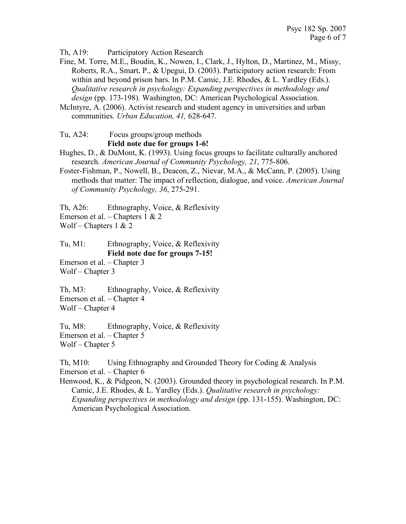Th, A19: Participatory Action Research

Fine, M. Torre, M.E., Boudin, K., Nowen, I., Clark, J., Hylton, D., Martinez, M., Missy, Roberts, R.A., Smart, P., & Upegui, D. (2003). Participatory action research: From within and beyond prison bars. In P.M. Camic, J.E. Rhodes, & L. Yardley (Eds.). *Qualitative research in psychology: Expanding perspectives in methodology and*  design (pp. 173-198). Washington, DC: American Psychological Association.

McIntyre, A. (2006). Activist research and student agency in universities and urban communities. *Urban Education, 41,* 628-647.

Tu, A24: Focus groups/group methods **Field note due for groups 1-6!**

Hughes, D., & DuMont, K. (1993). Using focus groups to facilitate culturally anchored research. *American Journal of Community Psychology, 21*, 775-806.

Foster-Fishman, P., Nowell, B., Deacon, Z., Nievar, M.A., & McCann, P. (2005). Using methods that matter: The impact of reflection, dialogue, and voice. *American Journal of Community Psychology, 36*, 275-291.

Th, A26: Ethnography, Voice, & Reflexivity Emerson et al. – Chapters 1 & 2

Wolf – Chapters  $1 & 2$ 

Tu, M1: Ethnography, Voice, & Reflexivity **Field note due for groups 7-15!**

Emerson et al. – Chapter 3 Wolf – Chapter 3

Th, M3: Ethnography, Voice, & Reflexivity Emerson et al. – Chapter 4 Wolf – Chapter 4

Tu, M8: Ethnography, Voice, & Reflexivity Emerson et al. – Chapter 5 Wolf – Chapter 5

Th, M10: Using Ethnography and Grounded Theory for Coding & Analysis Emerson et al. – Chapter 6

Henwood, K., & Pidgeon, N. (2003). Grounded theory in psychological research. In P.M. Camic, J.E. Rhodes, & L. Yardley (Eds.). *Qualitative research in psychology: Expanding perspectives in methodology and design* (pp. 131-155). Washington, DC: American Psychological Association.